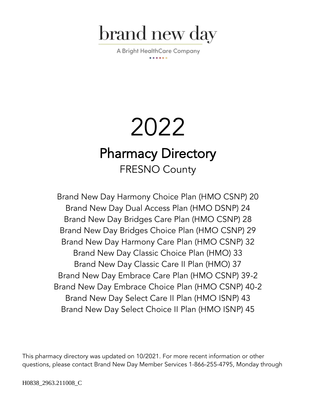

A Bright HealthCare Company

# 2022 Pharmacy Directory FRESNO County

Brand New Day Harmony Choice Plan (HMO CSNP) 20 Brand New Day Dual Access Plan (HMO DSNP) 24 Brand New Day Bridges Care Plan (HMO CSNP) 28 Brand New Day Bridges Choice Plan (HMO CSNP) 29 Brand New Day Harmony Care Plan (HMO CSNP) 32 Brand New Day Classic Choice Plan (HMO) 33 Brand New Day Classic Care II Plan (HMO) 37 Brand New Day Embrace Care Plan (HMO CSNP) 39-2 Brand New Day Embrace Choice Plan (HMO CSNP) 40-2 Brand New Day Select Care II Plan (HMO ISNP) 43 Brand New Day Select Choice II Plan (HMO ISNP) 45

This pharmacy directory was updated on 10/2021. For more recent information or other questions, please contact Brand New Day Member Services 1-866-255-4795, Monday through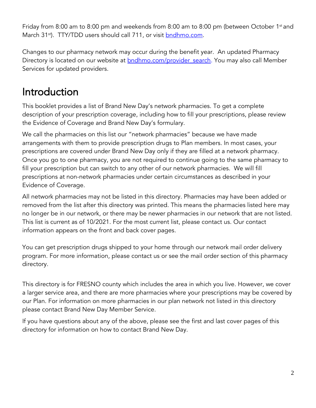Friday from 8:00 am to 8:00 pm and weekends from 8:00 am to 8:00 pm (between October 1st and March 31<sup>st</sup>). TTY/TDD users should call 711, or visit **bndhmo.com**.

Changes to our pharmacy network may occur during the benefit year. An updated Pharmacy Directory is located on our website at **bndhmo.com/provider** search. You may also call Member Services for updated providers.

## Introduction

This booklet provides a list of Brand New Day's network pharmacies. To get a complete description of your prescription coverage, including how to fill your prescriptions, please review the Evidence of Coverage and Brand New Day's formulary.

We call the pharmacies on this list our "network pharmacies" because we have made arrangements with them to provide prescription drugs to Plan members. In most cases, your prescriptions are covered under Brand New Day only if they are filled at a network pharmacy. Once you go to one pharmacy, you are not required to continue going to the same pharmacy to fill your prescription but can switch to any other of our network pharmacies. We will fill prescriptions at non-network pharmacies under certain circumstances as described in your Evidence of Coverage.

All network pharmacies may not be listed in this directory. Pharmacies may have been added or removed from the list after this directory was printed. This means the pharmacies listed here may no longer be in our network, or there may be newer pharmacies in our network that are not listed. This list is current as of 10/2021. For the most current list, please contact us. Our contact information appears on the front and back cover pages.

You can get prescription drugs shipped to your home through our network mail order delivery program. For more information, please contact us or see the mail order section of this pharmacy directory.

This directory is for FRESNO county which includes the area in which you live. However, we cover a larger service area, and there are more pharmacies where your prescriptions may be covered by our Plan. For information on more pharmacies in our plan network not listed in this directory please contact Brand New Day Member Service.

If you have questions about any of the above, please see the first and last cover pages of this directory for information on how to contact Brand New Day.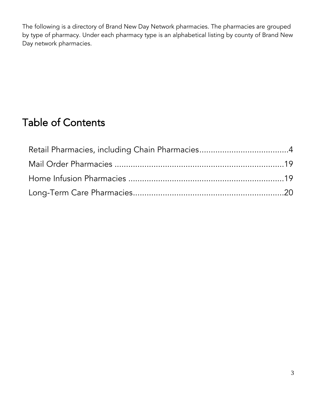The following is a directory of Brand New Day Network pharmacies. The pharmacies are grouped by type of pharmacy. Under each pharmacy type is an alphabetical listing by county of Brand New Day network pharmacies.

## Table of Contents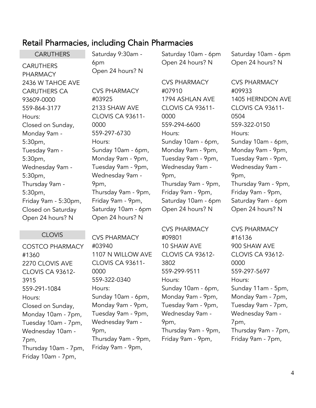## <span id="page-3-0"></span>Retail Pharmacies, including Chain Pharmacies

**CARUTHERS CARUTHERS** PHARMACY 2436 W TAHOE AVE CARUTHERS CA 93609-0000 559-864-3177 Hours: Closed on Sunday, Monday 9am - 5:30pm, Tuesday 9am - 5:30pm, Wednesday 9am - 5:30pm, Thursday 9am - 5:30pm, Friday 9am - 5:30pm, Closed on Saturday Open 24 hours? N

#### CLOVIS

COSTCO PHARMACY #1360 2270 CLOVIS AVE CLOVIS CA 93612- 3915 559-291-1084 Hours: Closed on Sunday, Monday 10am - 7pm, Tuesday 10am - 7pm, Wednesday 10am - 7pm, Thursday 10am - 7pm, Friday 10am - 7pm,

Saturday 9:30am - 6pm Open 24 hours? N

CVS PHARMACY #03925 2133 SHAW AVE CLOVIS CA 93611- 0000 559-297-6730 Hours: Sunday 10am - 6pm, Monday 9am - 9pm, Tuesday 9am - 9pm, Wednesday 9am - 9pm, Thursday 9am - 9pm, Friday 9am - 9pm, Saturday 10am - 6pm Open 24 hours? N

CVS PHARMACY #03940 1107 N WILLOW AVE CLOVIS CA 93611- 0000 559-322-0340 Hours: Sunday 10am - 6pm, Monday 9am - 9pm, Tuesday 9am - 9pm, Wednesday 9am - 9pm, Thursday 9am - 9pm, Friday 9am - 9pm,

Saturday 10am - 6pm Open 24 hours? N

CVS PHARMACY #07910 1794 ASHLAN AVE CLOVIS CA 93611- 0000 559-294-6600 Hours: Sunday 10am - 6pm, Monday 9am - 9pm, Tuesday 9am - 9pm, Wednesday 9am - 9pm, Thursday 9am - 9pm, Friday 9am - 9pm, Saturday 10am - 6pm Open 24 hours? N

CVS PHARMACY #09801 10 SHAW AVE CLOVIS CA 93612- 3802 559-299-9511 Hours: Sunday 10am - 6pm, Monday 9am - 9pm, Tuesday 9am - 9pm, Wednesday 9am - 9pm, Thursday 9am - 9pm, Friday 9am - 9pm,

CVS PHARMACY #09933 1405 HERNDON AVE CLOVIS CA 93611- 0504 559-322-0150 Hours: Sunday 10am - 6pm, Monday 9am - 9pm, Tuesday 9am - 9pm, Wednesday 9am - 9pm, Thursday 9am - 9pm, Friday 9am - 9pm, Saturday 9am - 6pm Open 24 hours? N

Saturday 10am - 6pm Open 24 hours? N

CVS PHARMACY #16136 900 SHAW AVE CLOVIS CA 93612- 0000 559-297-5697 Hours: Sunday 11am - 5pm, Monday 9am - 7pm, Tuesday 9am - 7pm, Wednesday 9am - 7pm, Thursday 9am - 7pm, Friday 9am - 7pm,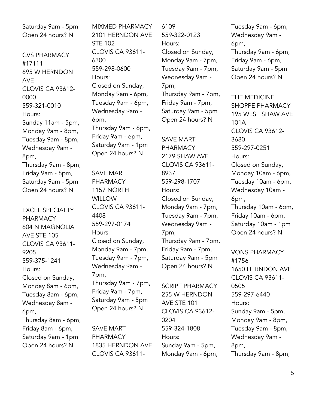Saturday 9am - 5pm Open 24 hours? N

CVS PHARMACY #17111 695 W HERNDON AVE CLOVIS CA 93612- 0000 559-321-0010 Hours: Sunday 11am - 5pm, Monday 9am - 8pm, Tuesday 9am - 8pm, Wednesday 9am - 8pm, Thursday 9am - 8pm, Friday 9am - 8pm, Saturday 9am - 5pm Open 24 hours? N

EXCEL SPECIALTY PHARMACY 604 N MAGNOLIA AVE STE 105 CLOVIS CA 93611- 9205 559-375-1241 Hours: Closed on Sunday, Monday 8am - 6pm, Tuesday 8am - 6pm, Wednesday 8am - 6pm, Thursday 8am - 6pm, Friday 8am - 6pm, Saturday 9am - 1pm Open 24 hours? N

MIXMED PHARMACY 2101 HERNDON AVE STE 102 CLOVIS CA 93611- 6300 559-298-0600 Hours: Closed on Sunday, Monday 9am - 6pm, Tuesday 9am - 6pm, Wednesday 9am - 6pm, Thursday 9am - 6pm, Friday 9am - 6pm, Saturday 9am - 1pm Open 24 hours? N

SAVE MART PHARMACY 1157 NORTH **WILLOW** CLOVIS CA 93611- 4408 559-297-0174 Hours: Closed on Sunday, Monday 9am - 7pm, Tuesday 9am - 7pm, Wednesday 9am - 7pm, Thursday 9am - 7pm, Friday 9am - 7pm, Saturday 9am - 5pm Open 24 hours? N

SAVE MART PHARMACY 1835 HERNDON AVE CLOVIS CA 936116109 559-322-0123 Hours: Closed on Sunday, Monday 9am - 7pm, Tuesday 9am - 7pm, Wednesday 9am - 7pm, Thursday 9am - 7pm, Friday 9am - 7pm, Saturday 9am - 5pm Open 24 hours? N

SAVE MART PHARMACY 2179 SHAW AVE CLOVIS CA 93611- 8937 559-298-1707 Hours: Closed on Sunday, Monday 9am - 7pm, Tuesday 9am - 7pm, Wednesday 9am - 7pm, Thursday 9am - 7pm, Friday 9am - 7pm, Saturday 9am - 5pm Open 24 hours? N

SCRIPT PHARMACY 255 W HERNDON AVE STE 101 CLOVIS CA 93612- 0204 559-324-1808 Hours: Sunday 9am - 5pm, Monday 9am - 6pm,

Tuesday 9am - 6pm, Wednesday 9am - 6pm, Thursday 9am - 6pm, Friday 9am - 6pm, Saturday 9am - 5pm Open 24 hours? N

THE MEDICINE SHOPPE PHARMACY 195 WEST SHAW AVE 101A CLOVIS CA 93612- 3680 559-297-0251 Hours: Closed on Sunday, Monday 10am - 6pm, Tuesday 10am - 6pm, Wednesday 10am - 6pm, Thursday 10am - 6pm, Friday 10am - 6pm, Saturday 10am - 1pm Open 24 hours? N

VONS PHARMACY #1756 1650 HERNDON AVE CLOVIS CA 93611- 0505 559-297-6440 Hours: Sunday 9am - 5pm, Monday 9am - 8pm, Tuesday 9am - 8pm, Wednesday 9am - 8pm, Thursday 9am - 8pm,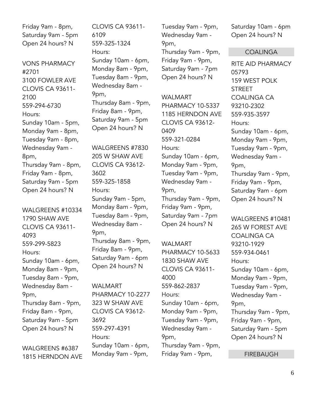Friday 9am - 8pm, Saturday 9am - 5pm Open 24 hours? N

VONS PHARMACY #2701 3100 FOWLER AVE CLOVIS CA 93611- 2100 559-294-6730 Hours: Sunday 10am - 5pm, Monday 9am - 8pm, Tuesday 9am - 8pm, Wednesday 9am - 8pm, Thursday 9am - 8pm, Friday 9am - 8pm, Saturday 9am - 5pm Open 24 hours? N

WALGREENS #10334 1790 SHAW AVE CLOVIS CA 93611- 4093 559-299-5823 Hours: Sunday 10am - 6pm, Monday 8am - 9pm, Tuesday 8am - 9pm, Wednesday 8am - 9pm, Thursday 8am - 9pm, Friday 8am - 9pm, Saturday 9am - 5pm Open 24 hours? N

WALGREENS #6387 1815 HERNDON AVE CLOVIS CA 93611- 6109 559-325-1324 Hours: Sunday 10am - 6pm, Monday 8am - 9pm, Tuesday 8am - 9pm, Wednesday 8am - 9pm, Thursday 8am - 9pm, Friday 8am - 9pm, Saturday 9am - 5pm Open 24 hours? N

WALGREENS #7830 205 W SHAW AVE CLOVIS CA 93612- 3602 559-325-1858 Hours: Sunday 9am - 5pm, Monday 8am - 9pm, Tuesday 8am - 9pm, Wednesday 8am - 9pm, Thursday 8am - 9pm, Friday 8am - 9pm, Saturday 9am - 6pm Open 24 hours? N

WALMART PHARMACY 10-2277 323 W SHAW AVE CLOVIS CA 93612- 3692 559-297-4391 Hours: Sunday 10am - 6pm, Monday 9am - 9pm,

Tuesday 9am - 9pm, Wednesday 9am - 9pm, Thursday 9am - 9pm, Friday 9am - 9pm, Saturday 9am - 7pm Open 24 hours? N

WALMART PHARMACY 10-5337 1185 HERNDON AVE CLOVIS CA 93612- 0409 559-321-0284 Hours: Sunday 10am - 6pm, Monday 9am - 9pm, Tuesday 9am - 9pm, Wednesday 9am - 9pm, Thursday 9am - 9pm, Friday 9am - 9pm, Saturday 9am - 7pm Open 24 hours? N

WALMART PHARMACY 10-5633 1830 SHAW AVE CLOVIS CA 93611- 4000 559-862-2837 Hours: Sunday 10am - 6pm, Monday 9am - 9pm, Tuesday 9am - 9pm, Wednesday 9am - 9pm, Thursday 9am - 9pm, Friday 9am - 9pm,

Saturday 10am - 6pm Open 24 hours? N

#### COALINGA

RITE AID PHARMACY 05793 159 WEST POLK **STREET** COALINGA CA 93210-2302 559-935-3597 Hours: Sunday 10am - 6pm, Monday 9am - 9pm, Tuesday 9am - 9pm, Wednesday 9am - 9pm, Thursday 9am - 9pm, Friday 9am - 9pm, Saturday 9am - 6pm Open 24 hours? N

WALGREENS #10481 265 W FOREST AVE COALINGA CA 93210-1929 559-934-0461 Hours: Sunday 10am - 6pm, Monday 9am - 9pm, Tuesday 9am - 9pm, Wednesday 9am - 9pm, Thursday 9am - 9pm, Friday 9am - 9pm, Saturday 9am - 5pm Open 24 hours? N

FIREBAUGH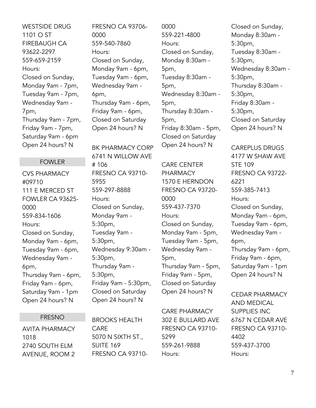WESTSIDE DRUG 1101 O ST FIREBAUGH CA 93622-2297 559-659-2159 Hours: Closed on Sunday, Monday 9am - 7pm, Tuesday 9am - 7pm, Wednesday 9am - 7pm, Thursday 9am - 7pm, Friday 9am - 7pm, Saturday 9am - 6pm Open 24 hours? N

#### FOWLER

CVS PHARMACY #09710 111 E MERCED ST FOWLER CA 93625- 0000 559-834-1606 Hours: Closed on Sunday, Monday 9am - 6pm, Tuesday 9am - 6pm, Wednesday 9am - 6pm, Thursday 9am - 6pm, Friday 9am - 6pm, Saturday 9am - 1pm Open 24 hours? N

#### FRESNO

AVITA PHARMACY 1018 2740 SOUTH ELM AVENUE, ROOM 2

FRESNO CA 93706- 0000 559-540-7860 Hours: Closed on Sunday, Monday 9am - 6pm, Tuesday 9am - 6pm, Wednesday 9am - 6pm, Thursday 9am - 6pm, Friday 9am - 6pm, Closed on Saturday Open 24 hours? N

BK PHARMACY CORP 6741 N WILLOW AVE # 106 FRESNO CA 93710- 5955 559-297-8888 Hours: Closed on Sunday, Monday 9am - 5:30pm, Tuesday 9am - 5:30pm, Wednesday 9:30am - 5:30pm, Thursday 9am - 5:30pm, Friday 9am - 5:30pm, Closed on Saturday Open 24 hours? N

BROOKS HEALTH CARE 5070 N SIXTH ST., SUITE 169 FRESNO CA 937100000 559-221-4800 Hours: Closed on Sunday, Monday 8:30am - 5pm, Tuesday 8:30am - 5pm, Wednesday 8:30am - 5pm, Thursday 8:30am - 5pm, Friday 8:30am - 5pm, Closed on Saturday Open 24 hours? N

CARE CENTER PHARMACY 1570 E HERNDON FRESNO CA 93720- 0000 559-437-7370 Hours: Closed on Sunday, Monday 9am - 5pm, Tuesday 9am - 5pm, Wednesday 9am - 5pm, Thursday 9am - 5pm, Friday 9am - 5pm, Closed on Saturday Open 24 hours? N

CARE PHARMACY 302 E BULLARD AVE FRESNO CA 93710- 5299 559-261-9888 Hours:

Closed on Sunday, Monday 8:30am - 5:30pm, Tuesday 8:30am - 5:30pm, Wednesday 8:30am - 5:30pm, Thursday 8:30am - 5:30pm, Friday 8:30am - 5:30pm, Closed on Saturday Open 24 hours? N

CAREPLUS DRUGS 4177 W SHAW AVE STE 109 FRESNO CA 93722- 6221 559-385-7413 Hours: Closed on Sunday, Monday 9am - 6pm, Tuesday 9am - 6pm, Wednesday 9am - 6pm, Thursday 9am - 6pm, Friday 9am - 6pm, Saturday 9am - 1pm Open 24 hours? N

CEDAR PHARMACY AND MEDICAL SUPPLIES INC 6767 N CEDAR AVE FRESNO CA 93710- 4402 559-437-3700 Hours: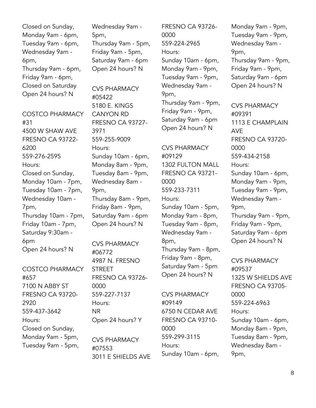Closed on Sunday, Monday 9am - 6pm, Tuesday 9am - 6pm, Wednesday 9am - 6pm, Thursday 9am - 6pm, Friday 9am - 6pm, Closed on Saturday Open 24 hours? N

COSTCO PHARMACY #31 4500 W SHAW AVE FRESNO CA 93722- 6200 559-276-2595 Hours: Closed on Sunday, Monday 10am - 7pm, Tuesday 10am - 7pm, Wednesday 10am - 7pm, Thursday 10am - 7pm, Friday 10am - 7pm, Saturday 9:30am - 6pm Open 24 hours? N

COSTCO PHARMACY #657 7100 N ABBY ST FRESNO CA 93720- 2920 559-437-3642 Hours: Closed on Sunday, Monday 9am - 5pm, Tuesday 9am - 5pm,

Wednesday 9am - 5pm, Thursday 9am - 5pm, Friday 9am - 5pm, Saturday 9am - 6pm Open 24 hours? N

CVS PHARMACY #05422 5180 E. KINGS CANYON RD FRESNO CA 93727- 3971 559-255-9009 Hours: Sunday 10am - 6pm, Monday 8am - 9pm, Tuesday 8am - 9pm, Wednesday 8am - 9pm, Thursday 8am - 9pm, Friday 8am - 9pm, Saturday 9am - 6pm Open 24 hours? N

CVS PHARMACY #06772 4987 N. FRESNO STREET FRESNO CA 93726- 0000 559-227-7137 Hours: NR Open 24 hours? Y

CVS PHARMACY #07553 3011 E SHIELDS AVE FRESNO CA 93726- 0000 559-224-2965 Hours: Sunday 10am - 6pm, Monday 9am - 9pm, Tuesday 9am - 9pm, Wednesday 9am - 9pm, Thursday 9am - 9pm, Friday 9am - 9pm, Saturday 9am - 6pm Open 24 hours? N

CVS PHARMACY #09129 1302 FULTON MALL FRESNO CA 93721- 0000 559-233-7311 Hours: Sunday 10am - 5pm, Monday 9am - 8pm, Tuesday 9am - 8pm, Wednesday 9am - 8pm, Thursday 9am - 8pm, Friday 9am - 8pm, Saturday 9am - 5pm Open 24 hours? N

CVS PHARMACY #09149 6750 N CEDAR AVE FRESNO CA 93710- 0000 559-299-3115 Hours: Sunday 10am - 6pm,

Monday 9am - 9pm, Tuesday 9am - 9pm, Wednesday 9am - 9pm, Thursday 9am - 9pm, Friday 9am - 9pm, Saturday 9am - 6pm Open 24 hours? N

CVS PHARMACY #09391 1113 E CHAMPLAIN AVE FRESNO CA 93720- 0000 559-434-2158 Hours: Sunday 10am - 6pm, Monday 9am - 9pm, Tuesday 9am - 9pm, Wednesday 9am - 9pm, Thursday 9am - 9pm, Friday 9am - 9pm, Saturday 9am - 6pm Open 24 hours? N

CVS PHARMACY #09537 1325 W SHIELDS AVE FRESNO CA 93705- 0000 559-224-6963 Hours: Sunday 10am - 6pm, Monday 8am - 9pm, Tuesday 8am - 9pm, Wednesday 8am - 9pm,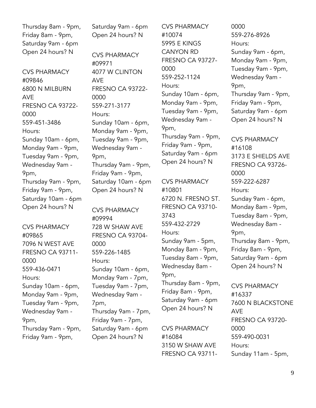Thursday 8am - 9pm, Friday 8am - 9pm, Saturday 9am - 6pm Open 24 hours? N

CVS PHARMACY #09846 6800 N MILBURN AVE FRESNO CA 93722- 0000 559-451-3486 Hours: Sunday 10am - 6pm, Monday 9am - 9pm, Tuesday 9am - 9pm, Wednesday 9am - 9pm, Thursday 9am - 9pm, Friday 9am - 9pm, Saturday 10am - 6pm Open 24 hours? N

CVS PHARMACY #09865 7096 N WEST AVE FRESNO CA 93711- 0000 559-436-0471 Hours: Sunday 10am - 6pm, Monday 9am - 9pm, Tuesday 9am - 9pm, Wednesday 9am - 9pm, Thursday 9am - 9pm, Friday 9am - 9pm,

Saturday 9am - 6pm Open 24 hours? N

CVS PHARMACY #09971 4077 W CLINTON AVE FRESNO CA 93722- 0000 559-271-3177 Hours: Sunday 10am - 6pm, Monday 9am - 9pm, Tuesday 9am - 9pm, Wednesday 9am - 9pm, Thursday 9am - 9pm, Friday 9am - 9pm, Saturday 10am - 6pm Open 24 hours? N

CVS PHARMACY #09994 728 W SHAW AVE FRESNO CA 93704- 0000 559-226-1485 Hours: Sunday 10am - 6pm, Monday 9am - 7pm, Tuesday 9am - 7pm, Wednesday 9am - 7pm, Thursday 9am - 7pm, Friday 9am - 7pm, Saturday 9am - 6pm Open 24 hours? N

CVS PHARMACY #10074 5995 E KINGS CANYON RD FRESNO CA 93727- 0000 559-252-1124 Hours: Sunday 10am - 6pm, Monday 9am - 9pm, Tuesday 9am - 9pm, Wednesday 9am - 9pm, Thursday 9am - 9pm, Friday 9am - 9pm, Saturday 9am - 6pm Open 24 hours? N

CVS PHARMACY #10801 6720 N. FRESNO ST. FRESNO CA 93710- 3743 559-432-2729 Hours: Sunday 9am - 5pm, Monday 8am - 9pm, Tuesday 8am - 9pm, Wednesday 8am - 9pm, Thursday 8am - 9pm, Friday 8am - 9pm, Saturday 9am - 6pm Open 24 hours? N

CVS PHARMACY #16084 3150 W SHAW AVE FRESNO CA 93711-

0000 559-276-8926 Hours: Sunday 9am - 6pm, Monday 9am - 9pm, Tuesday 9am - 9pm, Wednesday 9am - 9pm, Thursday 9am - 9pm, Friday 9am - 9pm, Saturday 9am - 6pm Open 24 hours? N

CVS PHARMACY #16108 3173 E SHIELDS AVE FRESNO CA 93726- 0000 559-222-6287 Hours: Sunday 9am - 6pm, Monday 8am - 9pm, Tuesday 8am - 9pm, Wednesday 8am - 9pm, Thursday 8am - 9pm, Friday 8am - 9pm, Saturday 9am - 6pm Open 24 hours? N

CVS PHARMACY #16337 7600 N BLACKSTONE AVE FRESNO CA 93720- 0000 559-490-0031 Hours: Sunday 11am - 5pm,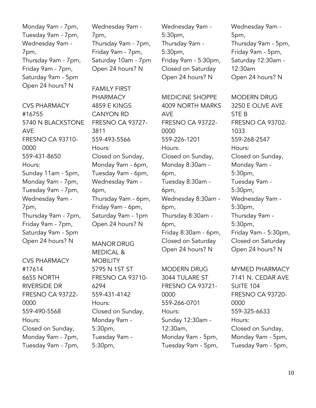Monday 9am - 7pm, Tuesday 9am - 7pm, Wednesday 9am - 7pm, Thursday 9am - 7pm, Friday 9am - 7pm, Saturday 9am - 5pm Open 24 hours? N

CVS PHARMACY #16755 5740 N BLACKSTONE AVE FRESNO CA 93710- 0000 559-431-8650 Hours: Sunday 11am - 5pm, Monday 9am - 7pm, Tuesday 9am - 7pm, Wednesday 9am - 7pm, Thursday 9am - 7pm, Friday 9am - 7pm, Saturday 9am - 5pm Open 24 hours? N

CVS PHARMACY #17614 6655 NORTH RIVERSIDE DR FRESNO CA 93722- 0000 559-490-5568 Hours: Closed on Sunday, Monday 9am - 7pm, Tuesday 9am - 7pm, Wednesday 9am - 7pm, Thursday 9am - 7pm, Friday 9am - 7pm, Saturday 10am - 7pm Open 24 hours? N

FAMILY FIRST PHARMACY 4859 E KINGS CANYON RD FRESNO CA 93727- 3811 559-493-5566 Hours: Closed on Sunday, Monday 9am - 6pm, Tuesday 9am - 6pm, Wednesday 9am - 6pm, Thursday 9am - 6pm, Friday 9am - 6pm, Saturday 9am - 1pm Open 24 hours? N

MANOR DRUG MEDICAL & **MOBILITY** 5795 N 1ST ST FRESNO CA 93710- 6294 559-431-4142 Hours: Closed on Sunday, Monday 9am - 5:30pm, Tuesday 9am - 5:30pm,

Wednesday 9am - 5:30pm, Thursday 9am - 5:30pm, Friday 9am - 5:30pm, Closed on Saturday Open 24 hours? N

MEDICINE SHOPPE 4009 NORTH MARKS AVE FRESNO CA 93722- 0000 559-226-1201 Hours: Closed on Sunday, Monday 8:30am - 6pm, Tuesday 8:30am - 6pm, Wednesday 8:30am - 6pm, Thursday 8:30am - 6pm, Friday 8:30am - 6pm, Closed on Saturday Open 24 hours? N

MODERN DRUG 3044 TULARE ST FRESNO CA 93721- 0000 559-266-0701 Hours: Sunday 12:30am - 12:30am, Monday 9am - 5pm, Tuesday 9am - 5pm,

Wednesday 9am - 5pm, Thursday 9am - 5pm, Friday 9am - 5pm, Saturday 12:30am - 12:30am Open 24 hours? N

MODERN DRUG 3250 E OLIVE AVE STE B FRESNO CA 93702- 1033 559-268-2547 Hours: Closed on Sunday, Monday 9am - 5:30pm, Tuesday 9am - 5:30pm, Wednesday 9am - 5:30pm, Thursday 9am - 5:30pm, Friday 9am - 5:30pm, Closed on Saturday Open 24 hours? N

MYMED PHARMACY 7141 N. CEDAR AVE SUITE 104 FRESNO CA 93720- 0000 559-325-6633 Hours: Closed on Sunday, Monday 9am - 5pm, Tuesday 9am - 5pm,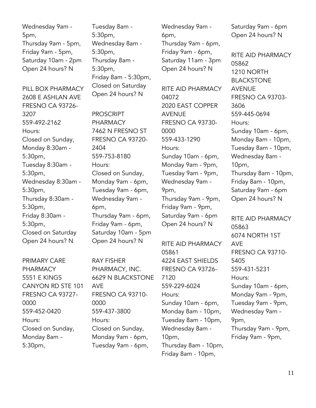Wednesday 9am - 5pm, Thursday 9am - 5pm, Friday 9am - 5pm, Saturday 10am - 2pm Open 24 hours? N

PILL BOX PHARMACY 2608 E ASHLAN AVE FRESNO CA 93726- 3207 559-492-2162 Hours: Closed on Sunday, Monday 8:30am - 5:30pm, Tuesday 8:30am - 5:30pm, Wednesday 8:30am - 5:30pm, Thursday 8:30am - 5:30pm, Friday 8:30am - 5:30pm, Closed on Saturday Open 24 hours? N

PRIMARY CARE PHARMACY 5551 E KINGS CANYON RD STE 101 FRESNO CA 93727- 0000 559-452-0420 Hours: Closed on Sunday, Monday 8am - 5:30pm,

Tuesday 8am - 5:30pm, Wednesday 8am - 5:30pm, Thursday 8am - 5:30pm, Friday 8am - 5:30pm, Closed on Saturday Open 24 hours? N

PROSCRIPT PHARMACY 7462 N FRESNO ST FRESNO CA 93720- 2404 559-753-8180 Hours: Closed on Sunday, Monday 9am - 6pm, Tuesday 9am - 6pm, Wednesday 9am - 6pm, Thursday 9am - 6pm, Friday 9am - 6pm, Saturday 10am - 5pm Open 24 hours? N

RAY FISHER PHARMACY, INC. 6629 N BLACKSTONE AVE FRESNO CA 93710- 0000 559-437-3800 Hours: Closed on Sunday, Monday 9am - 6pm, Tuesday 9am - 6pm,

Wednesday 9am - 6pm, Thursday 9am - 6pm, Friday 9am - 6pm, Saturday 11am - 3pm Open 24 hours? N

RITE AID PHARMACY 04072 2020 EAST COPPER AVENUE FRESNO CA 93730- 0000 559-433-1290 Hours: Sunday 10am - 6pm, Monday 9am - 9pm, Tuesday 9am - 9pm, Wednesday 9am - 9pm, Thursday 9am - 9pm, Friday 9am - 9pm, Saturday 9am - 6pm Open 24 hours? N

RITE AID PHARMACY 05861 4224 EAST SHIELDS FRESNO CA 93726- 7120 559-229-6024 Hours: Sunday 10am - 6pm, Monday 8am - 10pm, Tuesday 8am - 10pm, Wednesday 8am - 10pm, Thursday 8am - 10pm, Friday 8am - 10pm,

Saturday 9am - 6pm Open 24 hours? N

RITE AID PHARMACY 05862 1210 NORTH BLACKSTONE AVENUE FRESNO CA 93703- 3606 559-445-0694 Hours: Sunday 10am - 6pm, Monday 8am - 10pm, Tuesday 8am - 10pm, Wednesday 8am - 10pm, Thursday 8am - 10pm, Friday 8am - 10pm, Saturday 9am - 6pm Open 24 hours? N

RITE AID PHARMACY 05863 6074 NORTH 1ST AVE FRESNO CA 93710- 5405 559-431-5231 Hours: Sunday 10am - 6pm, Monday 9am - 9pm, Tuesday 9am - 9pm, Wednesday 9am - 9pm, Thursday 9am - 9pm, Friday 9am - 9pm,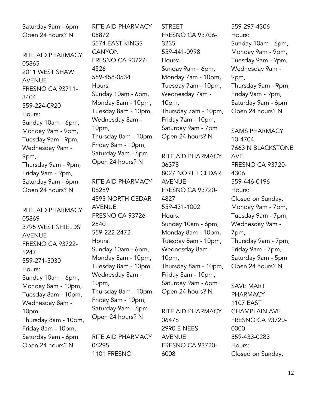Saturday 9am - 6pm Open 24 hours? N

RITE AID PHARMACY 05865 2011 WEST SHAW AVENUE FRESNO CA 93711- 3404 559-224-0920 Hours: Sunday 10am - 6pm, Monday 9am - 9pm, Tuesday 9am - 9pm, Wednesday 9am - 9pm, Thursday 9am - 9pm, Friday 9am - 9pm, Saturday 9am - 6pm Open 24 hours? N

RITE AID PHARMACY 05869 3795 WEST SHIELDS AVENUE FRESNO CA 93722- 5247 559-271-5030 Hours: Sunday 10am - 6pm, Monday 8am - 10pm, Tuesday 8am - 10pm, Wednesday 8am - 10pm, Thursday 8am - 10pm, Friday 8am - 10pm, Saturday 9am - 6pm Open 24 hours? N

RITE AID PHARMACY 05872 5574 EAST KINGS **CANYON** FRESNO CA 93727- 4526 559-458-0534 Hours: Sunday 10am - 6pm, Monday 8am - 10pm, Tuesday 8am - 10pm, Wednesday 8am - 10pm, Thursday 8am - 10pm, Friday 8am - 10pm, Saturday 9am - 6pm Open 24 hours? N RITE AID PHARMACY 06289 4593 NORTH CEDAR AVENUE FRESNO CA 93726- 2540 559-222-2472 Hours: Sunday 10am - 6pm, Monday 8am - 10pm, Tuesday 8am - 10pm, Wednesday 8am - 10pm, Thursday 8am - 10pm, Friday 8am - 10pm, Saturday 9am - 6pm

RITE AID PHARMACY 06295 1101 FRESNO

Open 24 hours? N

**STREET** FRESNO CA 93706- 3235 559-441-0998 Hours: Sunday 9am - 6pm, Monday 7am - 10pm, Tuesday 7am - 10pm, Wednesday 7am - 10pm, Thursday 7am - 10pm, Friday 7am - 10pm, Saturday 9am - 7pm Open 24 hours? N

RITE AID PHARMACY 06378 8027 NORTH CEDAR AVENUE FRESNO CA 93720- 4827 559-431-1002 Hours: Sunday 10am - 6pm, Monday 8am - 10pm, Tuesday 8am - 10pm, Wednesday 8am - 10pm, Thursday 8am - 10pm, Friday 8am - 10pm, Saturday 9am - 6pm Open 24 hours? N

RITE AID PHARMACY 06476 2990 E NEES AVENUE FRESNO CA 93720- 6008

559-297-4306 Hours: Sunday 10am - 6pm, Monday 9am - 9pm, Tuesday 9am - 9pm, Wednesday 9am - 9pm, Thursday 9am - 9pm, Friday 9am - 9pm, Saturday 9am - 6pm Open 24 hours? N

SAMS PHARMACY 10-4704 7663 N BLACKSTONE AVE FRESNO CA 93720- 4306 559-446-0196 Hours: Closed on Sunday, Monday 9am - 7pm, Tuesday 9am - 7pm, Wednesday 9am - 7pm, Thursday 9am - 7pm, Friday 9am - 7pm, Saturday 9am - 5pm Open 24 hours? N

SAVE MART PHARMACY 1107 EAST CHAMPLAIN AVE FRESNO CA 93720- 0000 559-433-0283 Hours: Closed on Sunday,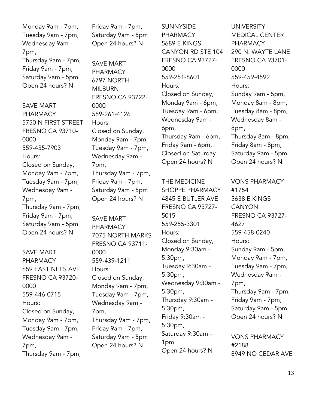Monday 9am - 7pm, Tuesday 9am - 7pm, Wednesday 9am - 7pm, Thursday 9am - 7pm, Friday 9am - 7pm, Saturday 9am - 5pm Open 24 hours? N

SAVE MART PHARMACY 5750 N FIRST STREET FRESNO CA 93710- 0000 559-435-7903 Hours: Closed on Sunday, Monday 9am - 7pm, Tuesday 9am - 7pm, Wednesday 9am - 7pm, Thursday 9am - 7pm, Friday 9am - 7pm, Saturday 9am - 5pm Open 24 hours? N

SAVE MART PHARMACY 659 EAST NEES AVE FRESNO CA 93720- 0000 559-446-0715 Hours: Closed on Sunday, Monday 9am - 7pm, Tuesday 9am - 7pm, Wednesday 9am - 7pm, Thursday 9am - 7pm, Friday 9am - 7pm, Saturday 9am - 5pm Open 24 hours? N

SAVE MART PHARMACY 6797 NORTH MILBURN FRESNO CA 93722- 0000 559-261-4126 Hours: Closed on Sunday, Monday 9am - 7pm, Tuesday 9am - 7pm, Wednesday 9am - 7pm, Thursday 9am - 7pm, Friday 9am - 7pm, Saturday 9am - 5pm Open 24 hours? N

SAVE MART PHARMACY 7075 NORTH MARKS FRESNO CA 93711- 0000 559-439-1211 Hours: Closed on Sunday, Monday 9am - 7pm, Tuesday 9am - 7pm, Wednesday 9am - 7pm, Thursday 9am - 7pm, Friday 9am - 7pm, Saturday 9am - 5pm Open 24 hours? N

**SUNNYSIDE PHARMACY** 5689 E KINGS CANYON RD STE 104 FRESNO CA 93727- 0000 559-251-8601 Hours: Closed on Sunday, Monday 9am - 6pm, Tuesday 9am - 6pm, Wednesday 9am - 6pm, Thursday 9am - 6pm, Friday 9am - 6pm, Closed on Saturday Open 24 hours? N

THE MEDICINE SHOPPE PHARMACY 4845 E BUTLER AVE FRESNO CA 93727- 5015 559-255-3301 Hours: Closed on Sunday, Monday 9:30am - 5:30pm, Tuesday 9:30am - 5:30pm, Wednesday 9:30am - 5:30pm, Thursday 9:30am - 5:30pm, Friday 9:30am - 5:30pm, Saturday 9:30am - 1pm Open 24 hours? N

UNIVERSITY MEDICAL CENTER PHARMACY 290 N. WAYTE LANE FRESNO CA 93701- 0000 559-459-4592 Hours: Sunday 9am - 5pm, Monday 8am - 8pm, Tuesday 8am - 8pm, Wednesday 8am - 8pm, Thursday 8am - 8pm, Friday 8am - 8pm, Saturday 9am - 5pm Open 24 hours? N

VONS PHARMACY #1754 5638 E KINGS **CANYON** FRESNO CA 93727- 4627 559-458-0240 Hours: Sunday 9am - 5pm, Monday 9am - 7pm, Tuesday 9am - 7pm, Wednesday 9am - 7pm, Thursday 9am - 7pm, Friday 9am - 7pm, Saturday 9am - 5pm Open 24 hours? N

VONS PHARMACY #2188 8949 NO CEDAR AVE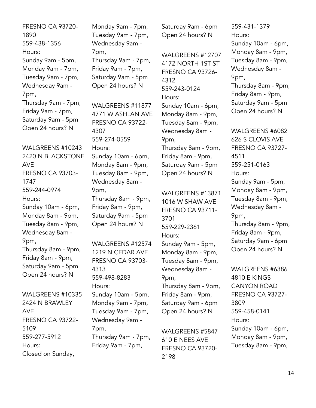FRESNO CA 93720- 1890 559-438-1356 Hours: Sunday 9am - 5pm, Monday 9am - 7pm, Tuesday 9am - 7pm, Wednesday 9am - 7pm, Thursday 9am - 7pm, Friday 9am - 7pm, Saturday 9am - 5pm Open 24 hours? N

WALGREENS #10243 2420 N BLACKSTONE AVE FRESNO CA 93703- 1747 559-244-0974 Hours: Sunday 10am - 6pm, Monday 8am - 9pm, Tuesday 8am - 9pm, Wednesday 8am - 9pm, Thursday 8am - 9pm, Friday 8am - 9pm, Saturday 9am - 5pm Open 24 hours? N

WALGREENS #10335 2424 N BRAWLEY AVE FRESNO CA 93722- 5109 559-277-5912 Hours: Closed on Sunday,

Monday 9am - 7pm, Tuesday 9am - 7pm, Wednesday 9am - 7pm, Thursday 9am - 7pm, Friday 9am - 7pm, Saturday 9am - 5pm Open 24 hours? N

WALGREENS #11877 4771 W ASHLAN AVE FRESNO CA 93722- 4307 559-274-0559 Hours: Sunday 10am - 6pm, Monday 8am - 9pm, Tuesday 8am - 9pm, Wednesday 8am - 9pm, Thursday 8am - 9pm, Friday 8am - 9pm, Saturday 9am - 5pm Open 24 hours? N

WALGREENS #12574 1219 N CEDAR AVE FRESNO CA 93703- 4313 559-498-8283 Hours: Sunday 10am - 5pm, Monday 9am - 7pm, Tuesday 9am - 7pm, Wednesday 9am - 7pm, Thursday 9am - 7pm, Friday 9am - 7pm,

Saturday 9am - 6pm Open 24 hours? N

WALGREENS #12707 4172 NORTH 1ST ST FRESNO CA 93726- 4312 559-243-0124 Hours: Sunday 10am - 6pm, Monday 8am - 9pm, Tuesday 8am - 9pm, Wednesday 8am - 9pm, Thursday 8am - 9pm, Friday 8am - 9pm, Saturday 9am - 5pm Open 24 hours? N

WALGREENS #13871 1016 W SHAW AVE FRESNO CA 93711- 3701 559-229-2361 Hours: Sunday 9am - 5pm, Monday 8am - 9pm, Tuesday 8am - 9pm, Wednesday 8am - 9pm, Thursday 8am - 9pm, Friday 8am - 9pm, Saturday 9am - 6pm Open 24 hours? N

WALGREENS #5847 610 E NEES AVE FRESNO CA 93720- 2198

559-431-1379 Hours: Sunday 10am - 6pm, Monday 8am - 9pm, Tuesday 8am - 9pm, Wednesday 8am - 9pm, Thursday 8am - 9pm, Friday 8am - 9pm, Saturday 9am - 5pm Open 24 hours? N

WALGREENS #6082 626 S CLOVIS AVE FRESNO CA 93727- 4511 559-251-0163 Hours: Sunday 9am - 5pm, Monday 8am - 9pm, Tuesday 8am - 9pm, Wednesday 8am - 9pm, Thursday 8am - 9pm, Friday 8am - 9pm, Saturday 9am - 6pm Open 24 hours? N

WALGREENS #6386 4810 E KINGS CANYON ROAD FRESNO CA 93727- 3809 559-458-0141 Hours: Sunday 10am - 6pm, Monday 8am - 9pm, Tuesday 8am - 9pm,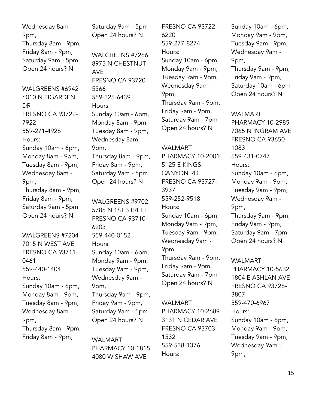Wednesday 8am - 9pm, Thursday 8am - 9pm, Friday 8am - 9pm, Saturday 9am - 5pm Open 24 hours? N

WAI GRFFNS #6942 6010 N FIGARDEN DR FRESNO CA 93722- 7922 559-271-4926 Hours: Sunday 10am - 6pm, Monday 8am - 9pm, Tuesday 8am - 9pm, Wednesday 8am - 9pm, Thursday 8am - 9pm, Friday 8am - 9pm, Saturday 9am - 5pm Open 24 hours? N

WALGREENS #7204 7015 N WEST AVE FRESNO CA 93711- 0461 559-440-1404 Hours: Sunday 10am - 6pm, Monday 8am - 9pm, Tuesday 8am - 9pm, Wednesday 8am - 9pm, Thursday 8am - 9pm, Friday 8am - 9pm,

Saturday 9am - 5pm Open 24 hours? N

WALGREENS #7266 8975 N CHESTNUT AVE FRESNO CA 93720- 5366 559-325-6439 Hours: Sunday 10am - 6pm, Monday 8am - 9pm, Tuesday 8am - 9pm, Wednesday 8am - 9pm, Thursday 8am - 9pm, Friday 8am - 9pm, Saturday 9am - 5pm Open 24 hours? N

WALGREENS #9702 5785 N 1ST STREET FRESNO CA 93710- 6203 559-440-0152 Hours: Sunday 10am - 6pm, Monday 9am - 9pm, Tuesday 9am - 9pm, Wednesday 9am - 9pm, Thursday 9am - 9pm, Friday 9am - 9pm, Saturday 9am - 5pm Open 24 hours? N

WALMART PHARMACY 10-1815 4080 W SHAW AVE

FRESNO CA 93722- 6220 559-277-8274 Hours: Sunday 10am - 6pm, Monday 9am - 9pm, Tuesday 9am - 9pm, Wednesday 9am - 9pm, Thursday 9am - 9pm, Friday 9am - 9pm, Saturday 9am - 7pm Open 24 hours? N

WALMART PHARMACY 10-2001 5125 E KINGS CANYON RD FRESNO CA 93727- 3937 559-252-9518 Hours: Sunday 10am - 6pm, Monday 9am - 9pm, Tuesday 9am - 9pm, Wednesday 9am - 9pm, Thursday 9am - 9pm, Friday 9am - 9pm, Saturday 9am - 7pm Open 24 hours? N

WALMART PHARMACY 10-2689 3131 N CEDAR AVE FRESNO CA 93703- 1532 559-538-1376 Hours:

Sunday 10am - 6pm, Monday 9am - 9pm, Tuesday 9am - 9pm, Wednesday 9am - 9pm, Thursday 9am - 9pm, Friday 9am - 9pm, Saturday 10am - 6pm Open 24 hours? N

WAI MART PHARMACY 10-2985 7065 N INGRAM AVE FRESNO CA 93650- 1083 559-431-0747 Hours: Sunday 10am - 6pm, Monday 9am - 9pm, Tuesday 9am - 9pm, Wednesday 9am - 9pm, Thursday 9am - 9pm, Friday 9am - 9pm, Saturday 9am - 7pm Open 24 hours? N

WALMART PHARMACY 10-5632 1804 E ASHLAN AVE FRESNO CA 93726- 3807 559-470-6967 Hours: Sunday 10am - 6pm, Monday 9am - 9pm, Tuesday 9am - 9pm, Wednesday 9am - 9pm,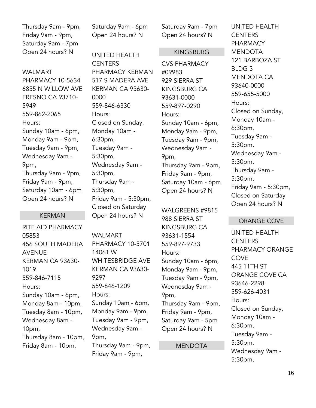Thursday 9am - 9pm, Friday 9am - 9pm, Saturday 9am - 7pm Open 24 hours? N

WALMART PHARMACY 10-5634 6855 N WILLOW AVE FRESNO CA 93710- 5949 559-862-2065 Hours: Sunday 10am - 6pm, Monday 9am - 9pm, Tuesday 9am - 9pm, Wednesday 9am - 9pm, Thursday 9am - 9pm, Friday 9am - 9pm, Saturday 10am - 6pm Open 24 hours? N

#### KERMAN

RITE AID PHARMACY 05853 456 SOUTH MADERA AVENUE KERMAN CA 93630- 1019 559-846-7115 Hours: Sunday 10am - 6pm, Monday 8am - 10pm, Tuesday 8am - 10pm, Wednesday 8am - 10pm, Thursday 8am - 10pm, Friday 8am - 10pm,

Saturday 9am - 6pm Open 24 hours? N

UNITED HEALTH **CENTERS** PHARMACY KERMAN 517 S MADERA AVE KERMAN CA 93630- 0000 559-846-6330 Hours: Closed on Sunday, Monday 10am - 6:30pm, Tuesday 9am - 5:30pm, Wednesday 9am - 5:30pm, Thursday 9am - 5:30pm, Friday 9am - 5:30pm, Closed on Saturday Open 24 hours? N

WALMART PHARMACY 10-5701 14061 W WHITESBRIDGE AVE KERMAN CA 93630- 9297 559-846-1209 Hours: Sunday 10am - 6pm, Monday 9am - 9pm, Tuesday 9am - 9pm, Wednesday 9am - 9pm, Thursday 9am - 9pm, Friday 9am - 9pm,

Saturday 9am - 7pm Open 24 hours? N

#### KINGSBURG

CVS PHARMACY #09983 929 SIERRA ST KINGSBURG CA 93631-0000 559-897-0290 Hours: Sunday 10am - 6pm, Monday 9am - 9pm, Tuesday 9am - 9pm, Wednesday 9am - 9pm, Thursday 9am - 9pm, Friday 9am - 9pm, Saturday 10am - 6pm Open 24 hours? N

WALGREENS #9815 988 SIERRA ST KINGSBURG CA 93631-1554 559-897-9733 Hours: Sunday 10am - 6pm, Monday 9am - 9pm, Tuesday 9am - 9pm, Wednesday 9am - 9pm, Thursday 9am - 9pm, Friday 9am - 9pm, Saturday 9am - 5pm Open 24 hours? N

#### MENDOTA

UNITED HEALTH **CENTERS** PHARMACY MENDOTA 121 BARBOZA ST BLDG 3 MENDOTA CA 93640-0000 559-655-5000 Hours: Closed on Sunday, Monday 10am - 6:30pm, Tuesday 9am - 5:30pm, Wednesday 9am - 5:30pm, Thursday 9am - 5:30pm, Friday 9am - 5:30pm, Closed on Saturday Open 24 hours? N

#### ORANGE COVE

UNITED HEALTH **CENTERS** PHARMACY ORANGE **COVE** 445 11TH ST ORANGE COVE CA 93646-2298 559-626-4031 Hours: Closed on Sunday, Monday 10am - 6:30pm, Tuesday 9am - 5:30pm, Wednesday 9am - 5:30pm,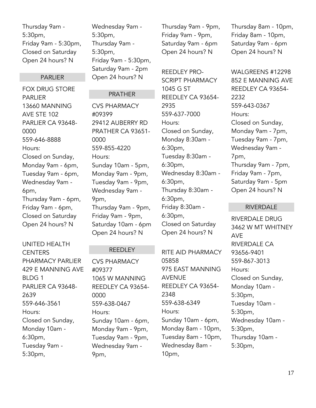Thursday 9am - 5:30pm, Friday 9am - 5:30pm, Closed on Saturday Open 24 hours? N

#### PARLIER

FOX DRUG STORE PARLIER 13660 MANNING AVE STE 102 PARLIER CA 93648- 0000 559-646-8888 Hours: Closed on Sunday, Monday 9am - 6pm, Tuesday 9am - 6pm, Wednesday 9am - 6pm, Thursday 9am - 6pm, Friday 9am - 6pm, Closed on Saturday Open 24 hours? N

UNITED HEALTH **CENTERS** PHARMACY PARLIER 429 E MANNING AVE BLDG 1 PARLIER CA 93648- 2639 559-646-3561 Hours: Closed on Sunday, Monday 10am - 6:30pm, Tuesday 9am - 5:30pm,

Wednesday 9am - 5:30pm, Thursday 9am - 5:30pm, Friday 9am - 5:30pm, Saturday 9am - 2pm Open 24 hours? N

#### PRATHER

CVS PHARMACY #09399 29412 AUBERRY RD PRATHER CA 93651- 0000 559-855-4220 Hours: Sunday 10am - 5pm, Monday 9am - 9pm, Tuesday 9am - 9pm, Wednesday 9am - 9pm, Thursday 9am - 9pm, Friday 9am - 9pm, Saturday 10am - 6pm Open 24 hours? N

#### **REEDLEY**

CVS PHARMACY #09377 1065 W MANNING REEDLEY CA 93654- 0000 559-638-0467 Hours: Sunday 10am - 6pm, Monday 9am - 9pm, Tuesday 9am - 9pm, Wednesday 9am - 9pm,

Thursday 9am - 9pm, Friday 9am - 9pm, Saturday 9am - 6pm Open 24 hours? N

REEDLEY PRO-SCRIPT PHARMACY 1045 G ST REEDLEY CA 93654- 2935 559-637-7000 Hours: Closed on Sunday, Monday 8:30am - 6:30pm, Tuesday 8:30am - 6:30pm, Wednesday 8:30am - 6:30pm, Thursday 8:30am - 6:30pm, Friday 8:30am - 6:30pm, Closed on Saturday Open 24 hours? N

RITE AID PHARMACY 05858 975 EAST MANNING AVENUE REEDLEY CA 93654- 2348 559-638-6349 Hours: Sunday 10am - 6pm, Monday 8am - 10pm, Tuesday 8am - 10pm, Wednesday 8am - 10pm,

Thursday 8am - 10pm, Friday 8am - 10pm, Saturday 9am - 6pm Open 24 hours? N

WALGREENS #12298 852 E MANNING AVE REEDLEY CA 93654- 2232 559-643-0367 Hours: Closed on Sunday, Monday 9am - 7pm, Tuesday 9am - 7pm, Wednesday 9am - 7pm, Thursday 9am - 7pm, Friday 9am - 7pm, Saturday 9am - 5pm Open 24 hours? N

#### RIVERDALE

RIVERDALE DRUG 3462 W MT WHITNEY AVE RIVERDALE CA 93656-9401 559-867-3013 Hours: Closed on Sunday, Monday 10am - 5:30pm, Tuesday 10am - 5:30pm, Wednesday 10am - 5:30pm, Thursday 10am - 5:30pm,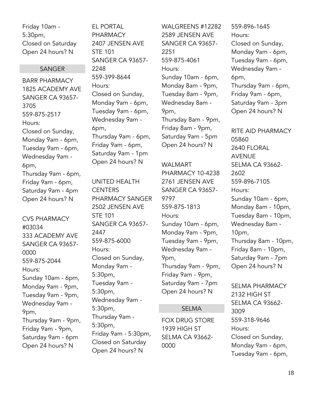Friday 10am - 5:30pm, Closed on Saturday Open 24 hours? N

#### SANGER

BARR PHARMACY 1825 ACADEMY AVE SANGER CA 93657- 3705 559-875-2517 Hours: Closed on Sunday, Monday 9am - 6pm, Tuesday 9am - 6pm, Wednesday 9am - 6pm, Thursday 9am - 6pm, Friday 9am - 6pm, Saturday 9am - 4pm Open 24 hours? N

CVS PHARMACY #03034 333 ACADEMY AVE SANGER CA 93657- 0000 559-875-2044 Hours: Sunday 10am - 6pm, Monday 9am - 9pm, Tuesday 9am - 9pm, Wednesday 9am - 9pm, Thursday 9am - 9pm, Friday 9am - 9pm, Saturday 9am - 6pm Open 24 hours? N

EL PORTAL **PHARMACY** 2407 JENSEN AVE STE 101 SANGER CA 93657- 2248 559-399-8644 Hours: Closed on Sunday, Monday 9am - 6pm, Tuesday 9am - 6pm, Wednesday 9am - 6pm, Thursday 9am - 6pm, Friday 9am - 6pm, Saturday 9am - 1pm Open 24 hours? N

UNITED HEALTH **CENTERS** PHARMACY SANGER 2502 JENSEN AVE STE 101 SANGER CA 93657- 2447 559-875-6000 Hours: Closed on Sunday, Monday 9am - 5:30pm, Tuesday 9am - 5:30pm, Wednesday 9am - 5:30pm, Thursday 9am - 5:30pm, Friday 9am - 5:30pm, Closed on Saturday Open 24 hours? N

WALGREENS #12282 2589 JENSEN AVE SANGER CA 93657- 2251 559-875-4061 Hours: Sunday 10am - 6pm, Monday 8am - 9pm, Tuesday 8am - 9pm, Wednesday 8am - 9pm, Thursday 8am - 9pm, Friday 8am - 9pm, Saturday 9am - 5pm Open 24 hours? N

### WALMART PHARMACY 10-4238 2761 JENSEN AVE SANGER CA 93657- 9797 559-875-1813 Hours: Sunday 10am - 6pm, Monday 9am - 9pm, Tuesday 9am - 9pm, Wednesday 9am - 9pm, Thursday 9am - 9pm, Friday 9am - 9pm, Saturday 9am - 7pm Open 24 hours? N

#### SELMA

FOX DRUG STORE 1939 HIGH ST SELMA CA 93662- 0000

559-896-1645 Hours: Closed on Sunday, Monday 9am - 6pm, Tuesday 9am - 6pm, Wednesday 9am - 6pm, Thursday 9am - 6pm, Friday 9am - 6pm, Saturday 9am - 3pm Open 24 hours? N

RITE AID PHARMACY 05860 2640 FLORAL AVENUE SELMA CA 93662- 2602 559-896-7105 Hours: Sunday 10am - 6pm, Monday 8am - 10pm, Tuesday 8am - 10pm, Wednesday 8am - 10pm, Thursday 8am - 10pm, Friday 8am - 10pm, Saturday 9am - 7pm Open 24 hours? N

SELMA PHARMACY 2132 HIGH ST SELMA CA 93662- 3009 559-318-9646 Hours: Closed on Sunday, Monday 9am - 6pm, Tuesday 9am - 6pm,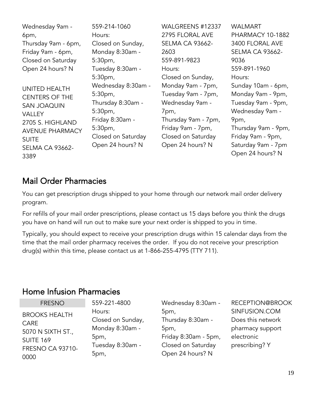| Wednesday 9am -        | 559-214-1060       | WALGREENS #12337       | <b>WALMART</b>         |
|------------------------|--------------------|------------------------|------------------------|
| 6pm,                   | Hours:             | 2795 FLORAL AVE        | PHARMACY 10-1882       |
| Thursday 9am - 6pm,    | Closed on Sunday,  | <b>SELMA CA 93662-</b> | 3400 FLORAL AVE        |
| Friday 9am - 6pm,      | Monday 8:30am -    | 2603                   | <b>SELMA CA 93662-</b> |
| Closed on Saturday     | 5:30 <sub>pm</sub> | 559-891-9823           | 9036                   |
| Open 24 hours? N       | Tuesday 8:30am -   | Hours:                 | 559-891-1960           |
|                        | 5:30 <sub>pm</sub> | Closed on Sunday,      | Hours:                 |
| <b>UNITED HEALTH</b>   | Wednesday 8:30am - | Monday 9am - 7pm,      | Sunday 10am - 6pm,     |
| <b>CENTERS OF THE</b>  | 5:30 <sub>pm</sub> | Tuesday 9am - 7pm,     | Monday 9am - 9pm,      |
| <b>SAN JOAQUIN</b>     | Thursday 8:30am -  | Wednesday 9am -        | Tuesday 9am - 9pm,     |
| <b>VALLEY</b>          | 5:30 <sub>pm</sub> | 7pm,                   | Wednesday 9am -        |
| 2705 S. HIGHLAND       | Friday 8:30am -    | Thursday 9am - 7pm,    | 9pm,                   |
| <b>AVENUE PHARMACY</b> | 5:30 <sub>pm</sub> | Friday 9am - 7pm,      | Thursday 9am - 9pm,    |
| <b>SUITE</b>           | Closed on Saturday | Closed on Saturday     | Friday 9am - 9pm,      |
| SELMA CA 93662-        | Open 24 hours? N   | Open 24 hours? N       | Saturday 9am - 7pm     |
| 3389                   |                    |                        | Open 24 hours? N       |
|                        |                    |                        |                        |

## <span id="page-18-0"></span>Mail Order Pharmacies

You can get prescription drugs shipped to your home through our network mail order delivery program.

For refills of your mail order prescriptions, please contact us 15 days before you think the drugs you have on hand will run out to make sure your next order is shipped to you in time.

Typically, you should expect to receive your prescription drugs within 15 calendar days from the time that the mail order pharmacy receives the order. If you do not receive your prescription drug(s) within this time, please contact us at 1-866-255-4795 (TTY 711).

### <span id="page-18-1"></span>Home Infusion Pharmacies

## FRESNO

BROOKS HEALTH CARE 5070 N SIXTH ST., SUITE 169 FRESNO CA 93710- 0000

559-221-4800 Hours: Closed on Sunday, Monday 8:30am - 5pm, Tuesday 8:30am - 5pm,

Wednesday 8:30am - 5pm, Thursday 8:30am - 5pm, Friday 8:30am - 5pm, Closed on Saturday Open 24 hours? N

RECEPTION@BROOK SINFUSION.COM Does this network pharmacy support electronic prescribing? Y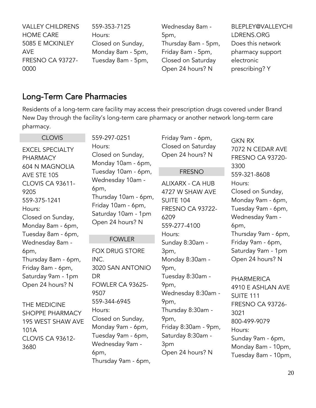| <b>VALLEY CHILDRENS</b> | 559-353-7125       | Wednesday 8am -     | BLEPLEY@VALLEYCHI |
|-------------------------|--------------------|---------------------|-------------------|
| <b>HOME CARE</b>        | Hours:             | 5pm,                | LDRENS.ORG        |
| 5085 E MCKINLEY         | Closed on Sunday,  | Thursday 8am - 5pm, | Does this network |
| <b>AVE</b>              | Monday 8am - 5pm,  | Friday 8am - 5pm,   | pharmacy support  |
| <b>FRESNO CA 93727-</b> | Tuesday 8am - 5pm, | Closed on Saturday  | electronic        |
| 0000                    |                    | Open 24 hours? N    | prescribing? Y    |

## <span id="page-19-0"></span>Long-Term Care Pharmacies

I

Residents of a long-term care facility may access their prescription drugs covered under Brand New Day through the facility's long-term care pharmacy or another network long-term care pharmacy.

| <b>CLOVIS</b>                                                                                                                                                                                 | 559-297-0251                                                                                                                                                                                             | Friday 9am - 6pm,                                                                                                                                                                              | <b>GKN RX</b>                                                                                                                                                                                                                       |
|-----------------------------------------------------------------------------------------------------------------------------------------------------------------------------------------------|----------------------------------------------------------------------------------------------------------------------------------------------------------------------------------------------------------|------------------------------------------------------------------------------------------------------------------------------------------------------------------------------------------------|-------------------------------------------------------------------------------------------------------------------------------------------------------------------------------------------------------------------------------------|
| <b>EXCEL SPECIALTY</b><br><b>PHARMACY</b><br><b>604 N MAGNOLIA</b>                                                                                                                            | Hours:<br>Closed on Sunday,<br>Monday 10am - 6pm,                                                                                                                                                        | Closed on Saturday<br>Open 24 hours? N                                                                                                                                                         | 7072 N CEDAR AVE<br><b>FRESNO CA 93720-</b><br>3300                                                                                                                                                                                 |
| AVE STE 105                                                                                                                                                                                   | Tuesday 10am - 6pm,                                                                                                                                                                                      | <b>FRESNO</b>                                                                                                                                                                                  | 559-321-8608                                                                                                                                                                                                                        |
| <b>CLOVIS CA 93611-</b><br>9205<br>559-375-1241<br>Hours:<br>Closed on Sunday,<br>Monday 8am - 6pm,                                                                                           | Wednesday 10am -<br>6pm,<br>Thursday 10am - 6pm,<br>Friday 10am - 6pm,<br>Saturday 10am - 1pm<br>Open 24 hours? N                                                                                        | <b>ALIXARX - CA HUB</b><br>4727 W SHAW AVE<br><b>SUITE 104</b><br><b>FRESNO CA 93722-</b><br>6209<br>559-277-4100<br>Hours:                                                                    | Hours:<br>Closed on Sunday,<br>Monday 9am - 6pm,<br>Tuesday 9am - 6pm,<br>Wednesday 9am -<br>6pm,                                                                                                                                   |
| Tuesday 8am - 6pm,<br>Wednesday 8am -                                                                                                                                                         | <b>FOWLER</b>                                                                                                                                                                                            | Sunday 8:30am -                                                                                                                                                                                | Thursday 9am - 6pm,<br>Friday 9am - 6pm,                                                                                                                                                                                            |
| 6pm,<br>Thursday 8am - 6pm,<br>Friday 8am - 6pm,<br>Saturday 9am - 1pm<br>Open 24 hours? N<br>THE MEDICINE<br><b>SHOPPE PHARMACY</b><br>195 WEST SHAW AVE<br>101A<br>CLOVIS CA 93612-<br>3680 | <b>FOX DRUG STORE</b><br>INC.<br>3020 SAN ANTONIO<br>DR<br>FOWLER CA 93625-<br>9507<br>559-344-6945<br>Hours:<br>Closed on Sunday,<br>Monday 9am - 6pm,<br>Tuesday 9am - 6pm,<br>Wednesday 9am -<br>6pm, | 3pm,<br>Monday 8:30am -<br>9pm,<br>Tuesday 8:30am -<br>9pm,<br>Wednesday 8:30am -<br>9pm,<br>Thursday 8:30am -<br>9pm,<br>Friday 8:30am - 9pm,<br>Saturday 8:30am -<br>3pm<br>Open 24 hours? N | Saturday 9am - 1pm<br>Open 24 hours? N<br><b>PHARMERICA</b><br>4910 E ASHLAN AVE<br><b>SUITE 111</b><br><b>FRESNO CA 93726-</b><br>3021<br>800-499-9079<br>Hours:<br>Sunday 9am - 6pm,<br>Monday 8am - 10pm,<br>Tuesday 8am - 10pm, |
|                                                                                                                                                                                               | Thursday 9am - 6pm,                                                                                                                                                                                      |                                                                                                                                                                                                |                                                                                                                                                                                                                                     |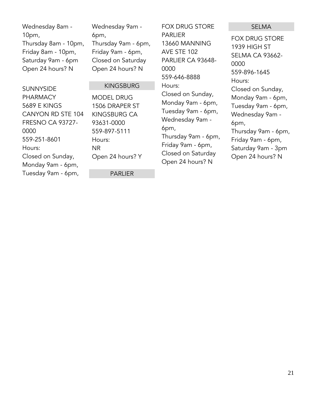| Wednesday 8am -      |
|----------------------|
| 10 <sub>pm</sub>     |
| Thursday 8am - 10pm, |
| Friday 8am - 10pm,   |
| Saturday 9am - 6pm   |
| Open 24 hours? N     |

Wednesday 9am - 6pm, Thursday 9am - 6pm, Friday 9am - 6pm, Closed on Saturday Open 24 hours? N

KINGSBURG

MODEL DRUG 1506 DRAPER ST FOX DRUG STORE PARLIER 13660 MANNING AVE STE 102 PARLIER CA 93648- 0000 559-646-8888 Hours: Closed on Sunday, Monday 9am - 6pm, Tuesday 9am - 6pm, Wednesday 9am - 6pm, Thursday 9am - 6pm, Friday 9am - 6pm,

Closed on Saturday Open 24 hours? N

#### SELMA

FOX DRUG STORE 1939 HIGH ST SELMA CA 93662- 0000 559-896-1645 Hours: Closed on Sunday, Monday 9am - 6pm, Tuesday 9am - 6pm, Wednesday 9am - 6pm, Thursday 9am - 6pm, Friday 9am - 6pm, Saturday 9am - 3pm Open 24 hours? N

#### SUNNYSIDE

PHARMACY 5689 E KINGS CANYON RD STE 104 FRESNO CA 93727- 0000 559-251-8601 Hours: Closed on Sunday, Monday 9am - 6pm, Tuesday 9am - 6pm,

KINGSBURG CA 93631-0000 559-897-5111 Hours: NR Open 24 hours? Y

PARLIER